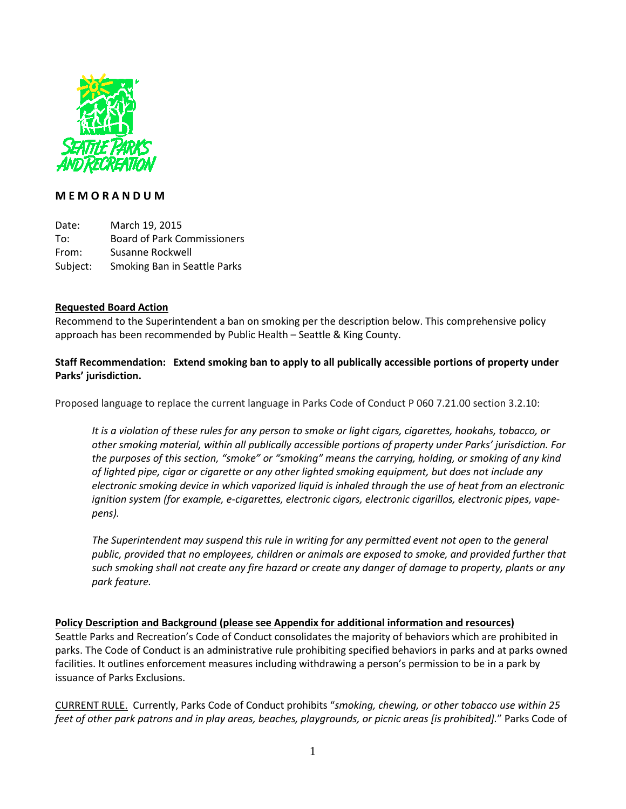

# **M E M O R A N D U M**

Date: March 19, 2015 To: Board of Park Commissioners From: Susanne Rockwell Subject: Smoking Ban in Seattle Parks

#### **Requested Board Action**

Recommend to the Superintendent a ban on smoking per the description below. This comprehensive policy approach has been recommended by Public Health – Seattle & King County.

## **Staff Recommendation: Extend smoking ban to apply to all publically accessible portions of property under Parks' jurisdiction.**

Proposed language to replace the current language in Parks Code of Conduct P 060 7.21.00 section 3.2.10:

*It is a violation of these rules for any person to smoke or light cigars, cigarettes, hookahs, tobacco, or other smoking material, within all publically accessible portions of property under Parks' jurisdiction. For the purposes of this section, "smoke" or "smoking" means the carrying, holding, or smoking of any kind of lighted pipe, cigar or cigarette or any other lighted smoking equipment, but does not include any electronic smoking device in which vaporized liquid is inhaled through the use of heat from an electronic ignition system (for example, e-cigarettes, electronic cigars, electronic cigarillos, electronic pipes, vapepens).*

*The Superintendent may suspend this rule in writing for any permitted event not open to the general public, provided that no employees, children or animals are exposed to smoke, and provided further that such smoking shall not create any fire hazard or create any danger of damage to property, plants or any park feature.*

**Policy Description and Background (please see Appendix for additional information and resources)**  Seattle Parks and Recreation's Code of Conduct consolidates the majority of behaviors which are prohibited in parks. The Code of Conduct is an administrative rule prohibiting specified behaviors in parks and at parks owned facilities. It outlines enforcement measures including withdrawing a person's permission to be in a park by issuance of Parks Exclusions.

CURRENT RULE. Currently, Parks Code of Conduct prohibits "*smoking, chewing, or other tobacco use within 25 feet of other park patrons and in play areas, beaches, playgrounds, or picnic areas [is prohibited].*" Parks Code of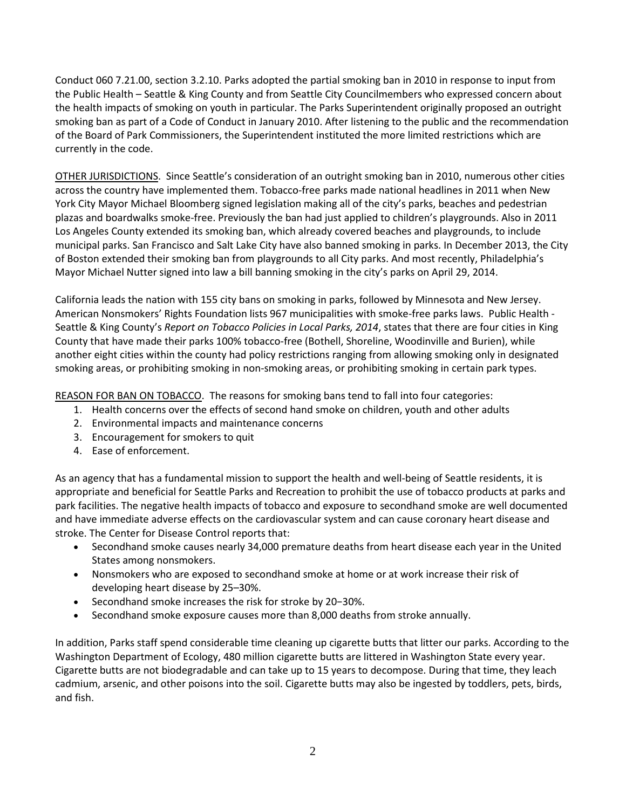Conduct 060 7.21.00, section 3.2.10. Parks adopted the partial smoking ban in 2010 in response to input from the Public Health – Seattle & King County and from Seattle City Councilmembers who expressed concern about the health impacts of smoking on youth in particular. The Parks Superintendent originally proposed an outright smoking ban as part of a Code of Conduct in January 2010. After listening to the public and the recommendation of the Board of Park Commissioners, the Superintendent instituted the more limited restrictions which are currently in the code.

OTHER JURISDICTIONS. Since Seattle's consideration of an outright smoking ban in 2010, numerous other cities across the country have implemented them. Tobacco-free parks made national headlines in 2011 when New York City Mayor Michael Bloomberg signed legislation making all of the city's parks, beaches and pedestrian plazas and boardwalks smoke-free. Previously the ban had just applied to children's playgrounds. Also in 2011 Los Angeles County extended its smoking ban, which already covered beaches and playgrounds, to include municipal parks. San Francisco and Salt Lake City have also banned smoking in parks. In December 2013, the City of Boston extended their smoking ban from playgrounds to all City parks. And most recently, Philadelphia's Mayor Michael Nutter signed into law a bill banning smoking in the city's parks on April 29, 2014.

California leads the nation with 155 city bans on smoking in parks, followed by Minnesota and New Jersey. American Nonsmokers' Rights Foundation lists 967 municipalities with smoke-free parks laws. Public Health - Seattle & King County's *Report on Tobacco Policies in Local Parks, 2014*, states that there are four cities in King County that have made their parks 100% tobacco-free (Bothell, Shoreline, Woodinville and Burien), while another eight cities within the county had policy restrictions ranging from allowing smoking only in designated smoking areas, or prohibiting smoking in non-smoking areas, or prohibiting smoking in certain park types.

REASON FOR BAN ON TOBACCO. The reasons for smoking bans tend to fall into four categories:

- 1. Health concerns over the effects of second hand smoke on children, youth and other adults
- 2. Environmental impacts and maintenance concerns
- 3. Encouragement for smokers to quit
- 4. Ease of enforcement.

As an agency that has a fundamental mission to support the health and well-being of Seattle residents, it is appropriate and beneficial for Seattle Parks and Recreation to prohibit the use of tobacco products at parks and park facilities. The negative health impacts of tobacco and exposure to secondhand smoke are well documented and have immediate adverse effects on the cardiovascular system and can cause coronary heart disease and stroke. The Center for Disease Control reports that:

- Secondhand smoke causes nearly 34,000 premature deaths from heart disease each year in the United States among nonsmokers.
- Nonsmokers who are exposed to secondhand smoke at home or at work increase their risk of developing heart disease by 25–30%.
- Secondhand smoke increases the risk for stroke by 20−30%.
- Secondhand smoke exposure causes more than 8,000 deaths from stroke annually.

In addition, Parks staff spend considerable time cleaning up cigarette butts that litter our parks. According to the Washington Department of Ecology, 480 million cigarette butts are littered in Washington State every year. Cigarette butts are not biodegradable and can take up to 15 years to decompose. During that time, they leach cadmium, arsenic, and other poisons into the soil. Cigarette butts may also be ingested by toddlers, pets, birds, and fish.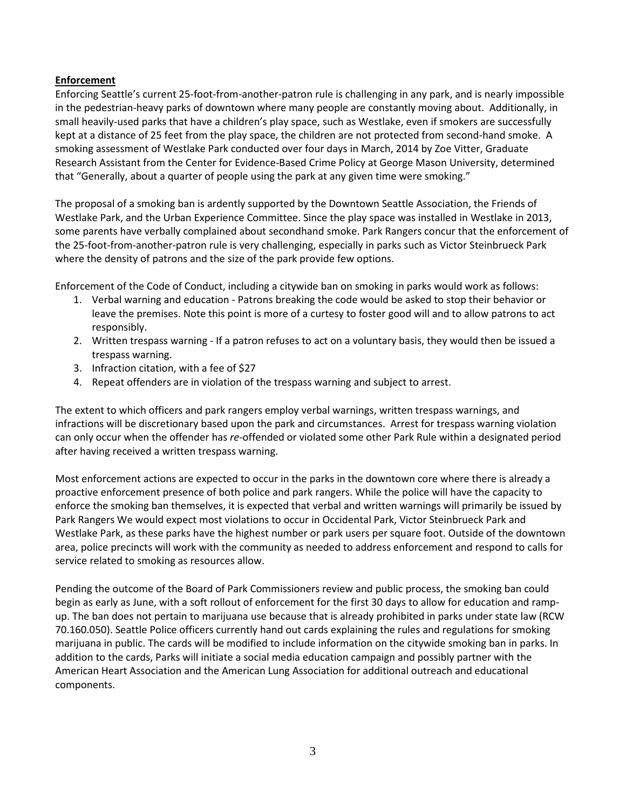## **Enforcement**

Enforcing Seattle's current 25-foot-from-another-patron rule is challenging in any park, and is nearly impossible in the pedestrian-heavy parks of downtown where many people are constantly moving about. Additionally, in small heavily-used parks that have a children's play space, such as Westlake, even if smokers are successfully kept at a distance of 25 feet from the play space, the children are not protected from second-hand smoke. A smoking assessment of Westlake Park conducted over four days in March, 2014 by Zoe Vitter, Graduate Research Assistant from the Center for Evidence-Based Crime Policy at George Mason University, determined that "Generally, about a quarter of people using the park at any given time were smoking."

The proposal of a smoking ban is ardently supported by the Downtown Seattle Association, the Friends of Westlake Park, and the Urban Experience Committee. Since the play space was installed in Westlake in 2013, some parents have verbally complained about secondhand smoke. Park Rangers concur that the enforcement of the 25-foot-from-another-patron rule is very challenging, especially in parks such as Victor Steinbrueck Park where the density of patrons and the size of the park provide few options.

Enforcement of the Code of Conduct, including a citywide ban on smoking in parks would work as follows:

- 1. Verbal warning and education Patrons breaking the code would be asked to stop their behavior or leave the premises. Note this point is more of a curtesy to foster good will and to allow patrons to act responsibly.
- 2. Written trespass warning If a patron refuses to act on a voluntary basis, they would then be issued a trespass warning.
- 3. Infraction citation, with a fee of \$27
- 4. Repeat offenders are in violation of the trespass warning and subject to arrest.

The extent to which officers and park rangers employ verbal warnings, written trespass warnings, and infractions will be discretionary based upon the park and circumstances. Arrest for trespass warning violation can only occur when the offender has *re*-offended or violated some other Park Rule within a designated period after having received a written trespass warning.

Most enforcement actions are expected to occur in the parks in the downtown core where there is already a proactive enforcement presence of both police and park rangers. While the police will have the capacity to enforce the smoking ban themselves, it is expected that verbal and written warnings will primarily be issued by Park Rangers We would expect most violations to occur in Occidental Park, Victor Steinbrueck Park and Westlake Park, as these parks have the highest number or park users per square foot. Outside of the downtown area, police precincts will work with the community as needed to address enforcement and respond to calls for service related to smoking as resources allow.

Pending the outcome of the Board of Park Commissioners review and public process, the smoking ban could begin as early as June, with a soft rollout of enforcement for the first 30 days to allow for education and rampup. The ban does not pertain to marijuana use because that is already prohibited in parks under state law (RCW 70.160.050). Seattle Police officers currently hand out cards explaining the rules and regulations for smoking marijuana in public. The cards will be modified to include information on the citywide smoking ban in parks. In addition to the cards, Parks will initiate a social media education campaign and possibly partner with the American Heart Association and the American Lung Association for additional outreach and educational components.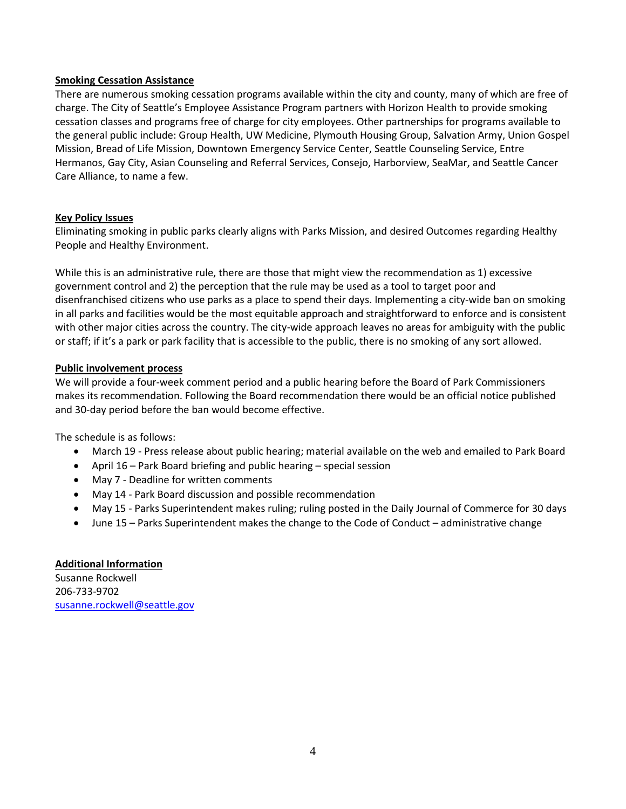#### **Smoking Cessation Assistance**

There are numerous smoking cessation programs available within the city and county, many of which are free of charge. The City of Seattle's Employee Assistance Program partners with Horizon Health to provide smoking cessation classes and programs free of charge for city employees. Other partnerships for programs available to the general public include: Group Health, UW Medicine, Plymouth Housing Group, Salvation Army, Union Gospel Mission, Bread of Life Mission, Downtown Emergency Service Center, Seattle Counseling Service, Entre Hermanos, Gay City, Asian Counseling and Referral Services, Consejo, Harborview, SeaMar, and Seattle Cancer Care Alliance, to name a few.

## **Key Policy Issues**

Eliminating smoking in public parks clearly aligns with Parks Mission, and desired Outcomes regarding Healthy People and Healthy Environment.

While this is an administrative rule, there are those that might view the recommendation as 1) excessive government control and 2) the perception that the rule may be used as a tool to target poor and disenfranchised citizens who use parks as a place to spend their days. Implementing a city-wide ban on smoking in all parks and facilities would be the most equitable approach and straightforward to enforce and is consistent with other major cities across the country. The city-wide approach leaves no areas for ambiguity with the public or staff; if it's a park or park facility that is accessible to the public, there is no smoking of any sort allowed.

#### **Public involvement process**

We will provide a four-week comment period and a public hearing before the Board of Park Commissioners makes its recommendation. Following the Board recommendation there would be an official notice published and 30-day period before the ban would become effective.

The schedule is as follows:

- March 19 Press release about public hearing; material available on the web and emailed to Park Board
- April 16 Park Board briefing and public hearing special session
- May 7 Deadline for written comments
- May 14 Park Board discussion and possible recommendation
- May 15 Parks Superintendent makes ruling; ruling posted in the Daily Journal of Commerce for 30 days
- June 15 Parks Superintendent makes the change to the Code of Conduct administrative change

## **Additional Information**

Susanne Rockwell 206-733-9702 [susanne.rockwell@seattle.gov](mailto:susanne.rockwell@seattle.gov)